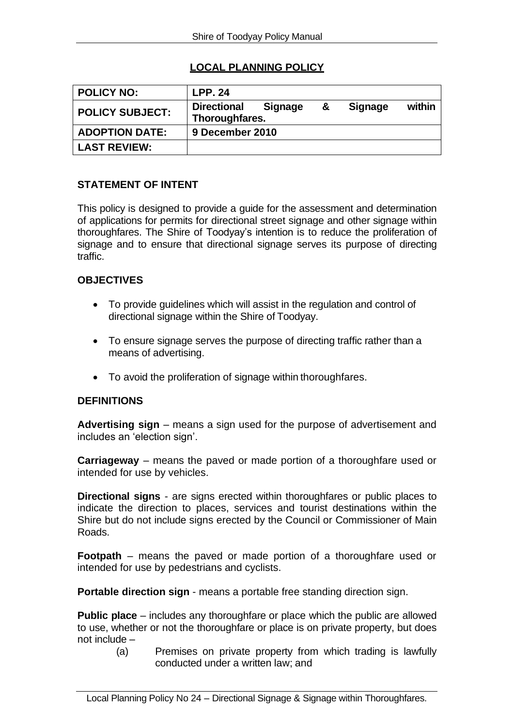# **LOCAL PLANNING POLICY**

| <b>POLICY NO:</b>      | <b>LPP. 24</b>                       |                |   |                |        |
|------------------------|--------------------------------------|----------------|---|----------------|--------|
| <b>POLICY SUBJECT:</b> | <b>Directional</b><br>Thoroughfares. | <b>Signage</b> | & | <b>Signage</b> | within |
| <b>ADOPTION DATE:</b>  | 9 December 2010                      |                |   |                |        |
| <b>LAST REVIEW:</b>    |                                      |                |   |                |        |

#### **STATEMENT OF INTENT**

This policy is designed to provide a guide for the assessment and determination of applications for permits for directional street signage and other signage within thoroughfares. The Shire of Toodyay's intention is to reduce the proliferation of signage and to ensure that directional signage serves its purpose of directing traffic.

#### **OBJECTIVES**

- To provide guidelines which will assist in the regulation and control of directional signage within the Shire of Toodyay.
- To ensure signage serves the purpose of directing traffic rather than a means of advertising.
- To avoid the proliferation of signage within thoroughfares.

## **DEFINITIONS**

**Advertising sign** – means a sign used for the purpose of advertisement and includes an 'election sign'.

**Carriageway** – means the paved or made portion of a thoroughfare used or intended for use by vehicles.

**Directional signs** - are signs erected within thoroughfares or public places to indicate the direction to places, services and tourist destinations within the Shire but do not include signs erected by the Council or Commissioner of Main Roads.

**Footpath** – means the paved or made portion of a thoroughfare used or intended for use by pedestrians and cyclists.

**Portable direction sign - means a portable free standing direction sign.** 

**Public place** – includes any thoroughfare or place which the public are allowed to use, whether or not the thoroughfare or place is on private property, but does not include –

(a) Premises on private property from which trading is lawfully conducted under a written law; and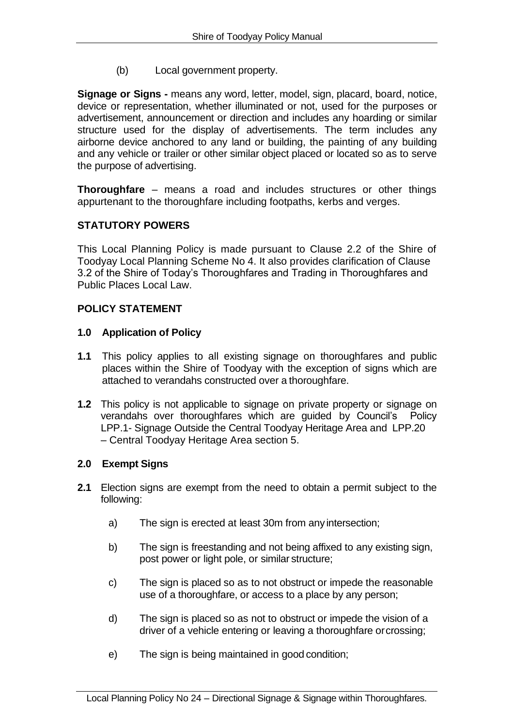(b) Local government property.

**Signage or Signs -** means any word, letter, model, sign, placard, board, notice, device or representation, whether illuminated or not, used for the purposes or advertisement, announcement or direction and includes any hoarding or similar structure used for the display of advertisements. The term includes any airborne device anchored to any land or building, the painting of any building and any vehicle or trailer or other similar object placed or located so as to serve the purpose of advertising.

**Thoroughfare** – means a road and includes structures or other things appurtenant to the thoroughfare including footpaths, kerbs and verges.

## **STATUTORY POWERS**

This Local Planning Policy is made pursuant to Clause 2.2 of the Shire of Toodyay Local Planning Scheme No 4. It also provides clarification of Clause 3.2 of the Shire of Today's Thoroughfares and Trading in Thoroughfares and Public Places Local Law.

### **POLICY STATEMENT**

### **1.0 Application of Policy**

- **1.1** This policy applies to all existing signage on thoroughfares and public places within the Shire of Toodyay with the exception of signs which are attached to verandahs constructed over a thoroughfare.
- **1.2** This policy is not applicable to signage on private property or signage on verandahs over thoroughfares which are guided by Council's Policy LPP.1- Signage Outside the Central Toodyay Heritage Area and LPP.20 – Central Toodyay Heritage Area section 5.

## **2.0 Exempt Signs**

- **2.1** Election signs are exempt from the need to obtain a permit subject to the following:
	- a) The sign is erected at least 30m from any intersection;
	- b) The sign is freestanding and not being affixed to any existing sign, post power or light pole, or similar structure;
	- c) The sign is placed so as to not obstruct or impede the reasonable use of a thoroughfare, or access to a place by any person;
	- d) The sign is placed so as not to obstruct or impede the vision of a driver of a vehicle entering or leaving a thoroughfare orcrossing;
	- e) The sign is being maintained in good condition;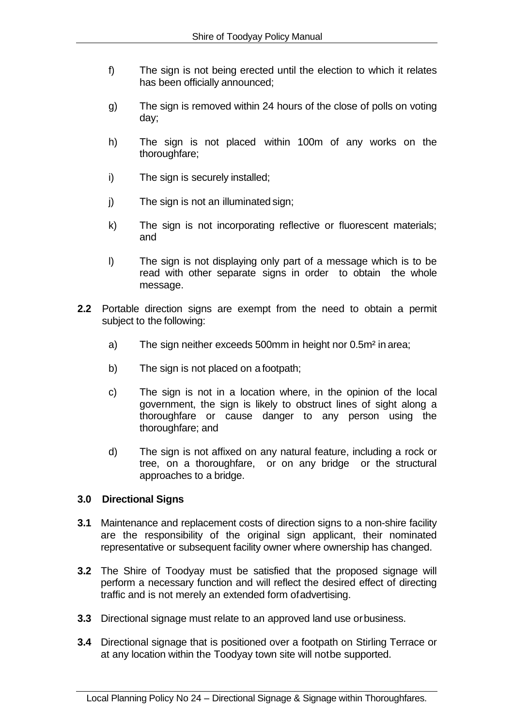- f) The sign is not being erected until the election to which it relates has been officially announced;
- g) The sign is removed within 24 hours of the close of polls on voting day;
- h) The sign is not placed within 100m of any works on the thoroughfare;
- i) The sign is securely installed;
- j) The sign is not an illuminated sign;
- k) The sign is not incorporating reflective or fluorescent materials; and
- l) The sign is not displaying only part of a message which is to be read with other separate signs in order to obtain the whole message.
- **2.2** Portable direction signs are exempt from the need to obtain a permit subject to the following:
	- a) The sign neither exceeds 500mm in height nor 0.5m² in area;
	- b) The sign is not placed on a footpath;
	- c) The sign is not in a location where, in the opinion of the local government, the sign is likely to obstruct lines of sight along a thoroughfare or cause danger to any person using the thoroughfare; and
	- d) The sign is not affixed on any natural feature, including a rock or tree, on a thoroughfare, or on any bridge or the structural approaches to a bridge.

#### **3.0 Directional Signs**

- **3.1** Maintenance and replacement costs of direction signs to a non-shire facility are the responsibility of the original sign applicant, their nominated representative or subsequent facility owner where ownership has changed.
- **3.2** The Shire of Toodyay must be satisfied that the proposed signage will perform a necessary function and will reflect the desired effect of directing traffic and is not merely an extended form ofadvertising.
- **3.3** Directional signage must relate to an approved land use orbusiness.
- **3.4** Directional signage that is positioned over a footpath on Stirling Terrace or at any location within the Toodyay town site will notbe supported.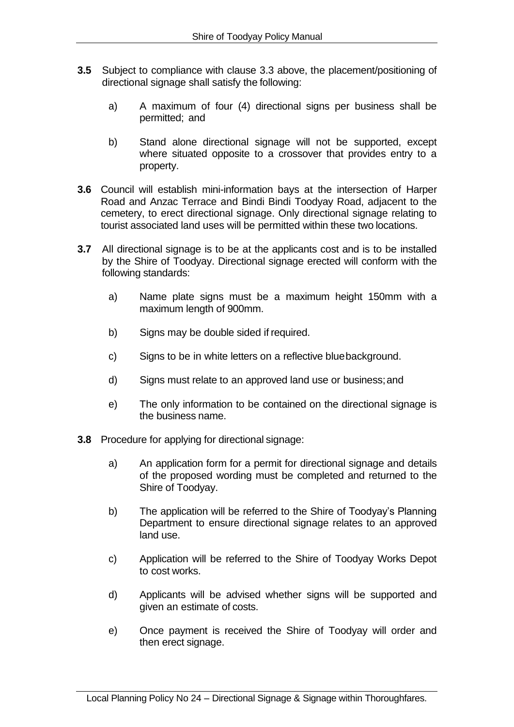- **3.5** Subject to compliance with clause 3.3 above, the placement/positioning of directional signage shall satisfy the following:
	- a) A maximum of four (4) directional signs per business shall be permitted; and
	- b) Stand alone directional signage will not be supported, except where situated opposite to a crossover that provides entry to a property.
- **3.6** Council will establish mini-information bays at the intersection of Harper Road and Anzac Terrace and Bindi Bindi Toodyay Road, adjacent to the cemetery, to erect directional signage. Only directional signage relating to tourist associated land uses will be permitted within these two locations.
- **3.7** All directional signage is to be at the applicants cost and is to be installed by the Shire of Toodyay. Directional signage erected will conform with the following standards:
	- a) Name plate signs must be a maximum height 150mm with a maximum length of 900mm.
	- b) Signs may be double sided if required.
	- c) Signs to be in white letters on a reflective bluebackground.
	- d) Signs must relate to an approved land use or business;and
	- e) The only information to be contained on the directional signage is the business name.
- **3.8** Procedure for applying for directional signage:
	- a) An application form for a permit for directional signage and details of the proposed wording must be completed and returned to the Shire of Toodyay.
	- b) The application will be referred to the Shire of Toodyay's Planning Department to ensure directional signage relates to an approved land use.
	- c) Application will be referred to the Shire of Toodyay Works Depot to cost works.
	- d) Applicants will be advised whether signs will be supported and given an estimate of costs.
	- e) Once payment is received the Shire of Toodyay will order and then erect signage.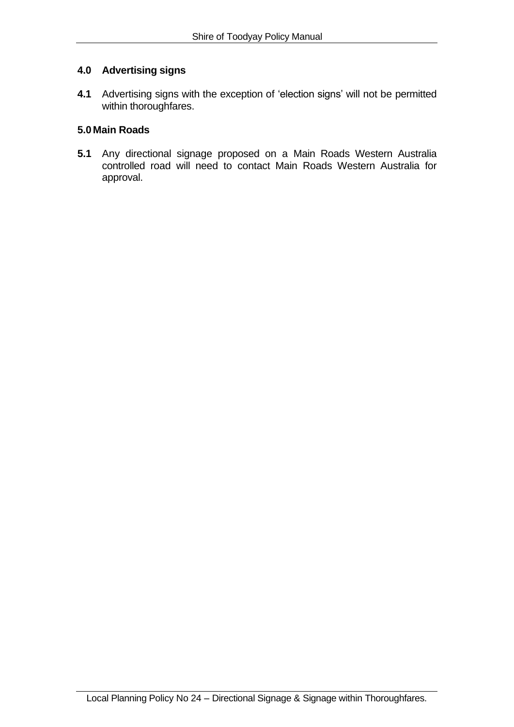### **4.0 Advertising signs**

**4.1** Advertising signs with the exception of 'election signs' will not be permitted within thoroughfares.

## **5.0 Main Roads**

**5.1** Any directional signage proposed on a Main Roads Western Australia controlled road will need to contact Main Roads Western Australia for approval.